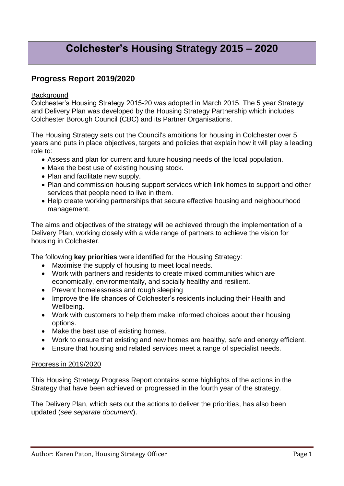# **Colchester's Housing Strategy 2015 – 2020**

## **Progress Report 2019/2020**

#### **Background**

Colchester's Housing Strategy 2015-20 was adopted in March 2015. The 5 year Strategy and Delivery Plan was developed by the Housing Strategy Partnership which includes Colchester Borough Council (CBC) and its Partner Organisations.

The Housing Strategy sets out the Council's ambitions for housing in Colchester over 5 years and puts in place objectives, targets and policies that explain how it will play a leading role to:

- Assess and plan for current and future housing needs of the local population.
- Make the best use of existing housing stock.
- Plan and facilitate new supply.
- Plan and commission housing support services which link homes to support and other services that people need to live in them.
- Help create working partnerships that secure effective housing and neighbourhood management.

The aims and objectives of the strategy will be achieved through the implementation of a Delivery Plan, working closely with a wide range of partners to achieve the vision for housing in Colchester.

The following **key priorities** were identified for the Housing Strategy:

- Maximise the supply of housing to meet local needs.
- Work with partners and residents to create mixed communities which are economically, environmentally, and socially healthy and resilient.
- Prevent homelessness and rough sleeping
- Improve the life chances of Colchester's residents including their Health and Wellbeing.
- Work with customers to help them make informed choices about their housing options.
- Make the best use of existing homes.
- Work to ensure that existing and new homes are healthy, safe and energy efficient.
- Ensure that housing and related services meet a range of specialist needs.

#### Progress in 2019/2020

This Housing Strategy Progress Report contains some highlights of the actions in the Strategy that have been achieved or progressed in the fourth year of the strategy.

The Delivery Plan, which sets out the actions to deliver the priorities, has also been updated (*see separate document*).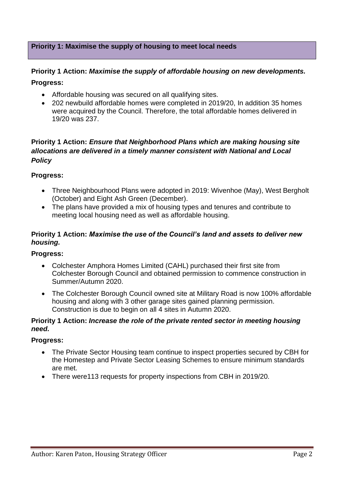## **Priority 1: Maximise the supply of housing to meet local needs**

## **Priority 1 Action:** *Maximise the supply of affordable housing on new developments.*

#### **Progress:**

- Affordable housing was secured on all qualifying sites.
- 202 newbuild affordable homes were completed in 2019/20, In addition 35 homes were acquired by the Council. Therefore, the total affordable homes delivered in 19/20 was 237.

## **Priority 1 Action:** *Ensure that Neighborhood Plans which are making housing site allocations are delivered in a timely manner consistent with National and Local Policy*

#### **Progress:**

- Three Neighbourhood Plans were adopted in 2019: Wivenhoe (May), West Bergholt (October) and Eight Ash Green (December).
- The plans have provided a mix of housing types and tenures and contribute to meeting local housing need as well as affordable housing.

## **Priority 1 Action:** *Maximise the use of the Council's land and assets to deliver new housing.*

#### **Progress:**

- Colchester Amphora Homes Limited (CAHL) purchased their first site from Colchester Borough Council and obtained permission to commence construction in Summer/Autumn 2020.
- The Colchester Borough Council owned site at Military Road is now 100% affordable housing and along with 3 other garage sites gained planning permission. Construction is due to begin on all 4 sites in Autumn 2020.

#### **Priority 1 Action:** *Increase the role of the private rented sector in meeting housing need.*

#### **Progress:**

- The Private Sector Housing team continue to inspect properties secured by CBH for the Homestep and Private Sector Leasing Schemes to ensure minimum standards are met.
- There were113 requests for property inspections from CBH in 2019/20.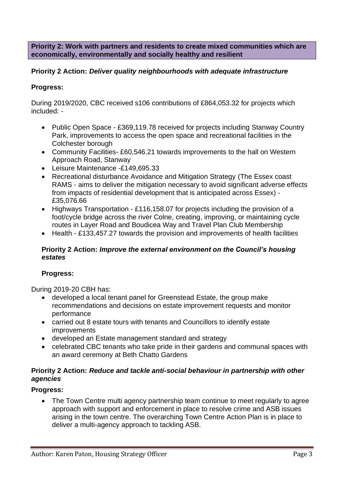**Priority 2: Work with partners and residents to create mixed communities which are economically, environmentally and socially healthy and resilient**

## **Priority 2 Action:** *Deliver quality neighbourhoods with adequate infrastructure*

#### **Progress:**

During 2019/2020, CBC received s106 contributions of £864,053.32 for projects which included: -

- Public Open Space £369,119.78 received for projects including Stanway Country Park, improvements to access the open space and recreational facilities in the Colchester borough
- Community Facilities- £60,546.21 towards improvements to the hall on Western Approach Road, Stanway
- Leisure Maintenance -£149,695.33
- Recreational disturbance Avoidance and Mitigation Strategy (The Essex coast RAMS - aims to deliver the mitigation necessary to avoid significant adverse effects from impacts of residential development that is anticipated across Essex) - £35,076.66
- Highways Transportation £116,158.07 for projects including the provision of a foot/cycle bridge across the river Colne, creating, improving, or maintaining cycle routes in Layer Road and Boudicea Way and Travel Plan Club Membership
- Health £133,457.27 towards the provision and improvements of health facilities

#### **Priority 2 Action:** *Improve the external environment on the Council's housing estates*

#### **Progress:**

During 2019-20 CBH has:

- developed a local tenant panel for Greenstead Estate, the group make recommendations and decisions on estate improvement requests and monitor performance
- carried out 8 estate tours with tenants and Councillors to identify estate improvements
- developed an Estate management standard and strategy
- celebrated CBC tenants who take pride in their gardens and communal spaces with an award ceremony at Beth Chatto Gardens

#### **Priority 2 Action:** *Reduce and tackle anti-social behaviour in partnership with other agencies*

#### **Progress:**

• The Town Centre multi agency partnership team continue to meet regularly to agree approach with support and enforcement in place to resolve crime and ASB issues arising in the town centre. The overarching Town Centre Action Plan is in place to deliver a multi-agency approach to tackling ASB.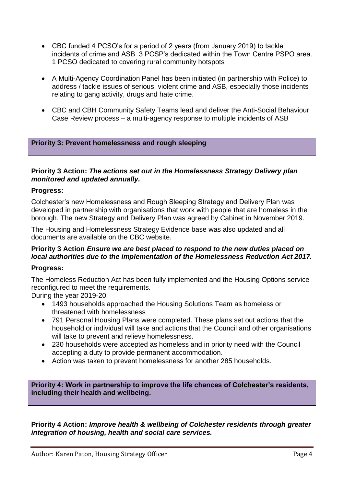- CBC funded 4 PCSO's for a period of 2 years (from January 2019) to tackle incidents of crime and ASB. 3 PCSP's dedicated within the Town Centre PSPO area. 1 PCSO dedicated to covering rural community hotspots
- A Multi-Agency Coordination Panel has been initiated (in partnership with Police) to address / tackle issues of serious, violent crime and ASB, especially those incidents relating to gang activity, drugs and hate crime.
- CBC and CBH Community Safety Teams lead and deliver the Anti-Social Behaviour Case Review process – a multi-agency response to multiple incidents of ASB

#### **Priority 3: Prevent homelessness and rough sleeping**

#### **Priority 3 Action:** *The actions set out in the Homelessness Strategy Delivery plan monitored and updated annually.*

#### **Progress:**

Colchester's new Homelessness and Rough Sleeping Strategy and Delivery Plan was developed in partnership with organisations that work with people that are homeless in the borough. The new Strategy and Delivery Plan was agreed by Cabinet in November 2019.

The Housing and Homelessness Strategy Evidence base was also updated and all documents are available on the CBC website.

#### **Priority 3 Action** *Ensure we are best placed to respond to the new duties placed on local authorities due to the implementation of the Homelessness Reduction Act 2017.*

#### **Progress:**

The Homeless Reduction Act has been fully implemented and the Housing Options service reconfigured to meet the requirements.

During the year 2019-20:

- 1493 households approached the Housing Solutions Team as homeless or threatened with homelessness
- 791 Personal Housing Plans were completed. These plans set out actions that the household or individual will take and actions that the Council and other organisations will take to prevent and relieve homelessness.
- 230 households were accepted as homeless and in priority need with the Council accepting a duty to provide permanent accommodation.
- Action was taken to prevent homelessness for another 285 households.

**Priority 4: Work in partnership to improve the life chances of Colchester's residents, including their health and wellbeing.**

**Priority 4 Action:** *Improve health & wellbeing of Colchester residents through greater integration of housing, health and social care services.*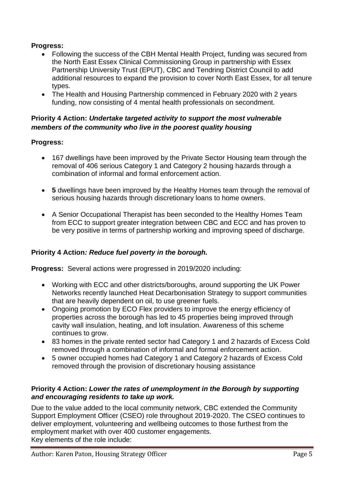## **Progress:**

- Following the success of the CBH Mental Health Project, funding was secured from the North East Essex Clinical Commissioning Group in partnership with Essex Partnership University Trust (EPUT), CBC and Tendring District Council to add additional resources to expand the provision to cover North East Essex, for all tenure types.
- The Health and Housing Partnership commenced in February 2020 with 2 years funding, now consisting of 4 mental health professionals on secondment.

## **Priority 4 Action:** *Undertake targeted activity to support the most vulnerable members of the community who live in the poorest quality housing*

## **Progress:**

- 167 dwellings have been improved by the Private Sector Housing team through the removal of 406 serious Category 1 and Category 2 housing hazards through a combination of informal and formal enforcement action.
- **5** dwellings have been improved by the Healthy Homes team through the removal of serious housing hazards through discretionary loans to home owners.
- A Senior Occupational Therapist has been seconded to the Healthy Homes Team from ECC to support greater integration between CBC and ECC and has proven to be very positive in terms of partnership working and improving speed of discharge.

## **Priority 4 Action***: Reduce fuel poverty in the borough.*

**Progress:** Several actions were progressed in 2019/2020 including:

- Working with ECC and other districts/boroughs, around supporting the UK Power Networks recently launched Heat Decarbonisation Strategy to support communities that are heavily dependent on oil, to use greener fuels.
- Ongoing promotion by ECO Flex providers to improve the energy efficiency of properties across the borough has led to 45 properties being improved through cavity wall insulation, heating, and loft insulation. Awareness of this scheme continues to grow.
- 83 homes in the private rented sector had Category 1 and 2 hazards of Excess Cold removed through a combination of informal and formal enforcement action.
- 5 owner occupied homes had Category 1 and Category 2 hazards of Excess Cold removed through the provision of discretionary housing assistance

## **Priority 4 Action:** *Lower the rates of unemployment in the Borough by supporting and encouraging residents to take up work.*

Due to the value added to the local community network, CBC extended the Community Support Employment Officer (CSEO) role throughout 2019-2020. The CSEO continues to deliver employment, volunteering and wellbeing outcomes to those furthest from the employment market with over 400 customer engagements. Key elements of the role include: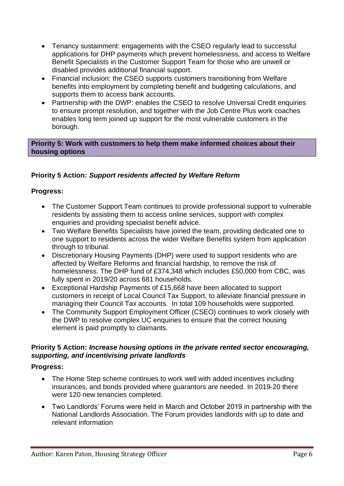- Tenancy sustainment: engagements with the CSEO regularly lead to successful applications for DHP payments which prevent homelessness, and access to Welfare Benefit Specialists in the Customer Support Team for those who are unwell or disabled provides additional financial support.
- Financial inclusion: the CSEO supports customers transitioning from Welfare benefits into employment by completing benefit and budgeting calculations, and supports them to access bank accounts.
- Partnership with the DWP: enables the CSEO to resolve Universal Credit enquiries to ensure prompt resolution, and together with the Job Centre Plus work coaches enables long term joined up support for the most vulnerable customers in the borough.

## **Priority 5: Work with customers to help them make informed choices about their housing options**

## **Priority 5 Action:** *Support residents affected by Welfare Reform*

## **Progress:**

- The Customer Support Team continues to provide professional support to vulnerable residents by assisting them to access online services, support with complex enquiries and providing specialist benefit advice.
- Two Welfare Benefits Specialists have joined the team, providing dedicated one to one support to residents across the wider Welfare Benefits system from application through to tribunal.
- Discretionary Housing Payments (DHP) were used to support residents who are affected by Welfare Reforms and financial hardship, to remove the risk of homelessness. The DHP fund of £374,348 which includes £50,000 from CBC, was fully spent in 2019/20 across 681 households.
- Exceptional Hardship Payments of £15,668 have been allocated to support customers in receipt of Local Council Tax Support, to alleviate financial pressure in managing their Council Tax accounts. In total 109 households were supported.
- The Community Support Employment Officer (CSEO) continues to work closely with the DWP to resolve complex UC enquiries to ensure that the correct housing element is paid promptly to claimants.

## **Priority 5 Action:** *Increase housing options in the private rented sector encouraging, supporting, and incentivising private landlords*

## **Progress:**

- The Home Step scheme continues to work well with added incentives including insurances, and bonds provided where guarantors are needed. In 2019-20 there were 120 new tenancies completed.
- Two Landlords' Forums were held in March and October 2019 in partnership with the National Landlords Association. The Forum provides landlords with up to date and relevant information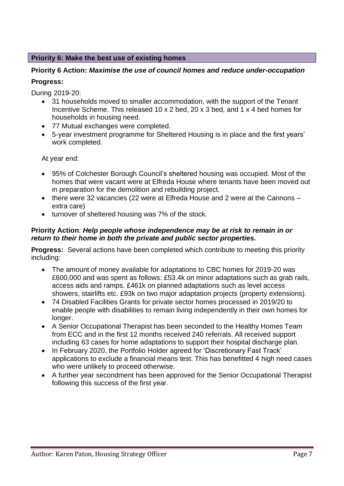## **Priority 6: Make the best use of existing homes**

## **Priority 6 Action:** *Maximise the use of council homes and reduce under-occupation*

## **Progress:**

During 2019-20:

- 31 households moved to smaller accommodation, with the support of the Tenant Incentive Scheme. This released 10 x 2 bed, 20 x 3 bed, and 1 x 4 bed homes for households in housing need.
- 77 Mutual exchanges were completed.
- 5-year investment programme for Sheltered Housing is in place and the first years' work completed.

At year end:

- 95% of Colchester Borough Council's sheltered housing was occupied. Most of the homes that were vacant were at Elfreda House where tenants have been moved out in preparation for the demolition and rebuilding project.
- there were 32 vacancies (22 were at Elfreda House and 2 were at the Cannons extra care)
- turnover of sheltered housing was 7% of the stock.

## **Priority Action***: Help people whose independence may be at risk to remain in or return to their home in both the private and public sector properties.*

**Progress:** Several actions have been completed which contribute to meeting this priority including:

- The amount of money available for adaptations to CBC homes for 2019-20 was £600,000 and was spent as follows: £53.4k on minor adaptations such as grab rails, access aids and ramps. £461k on planned adaptations such as level access showers, stairlifts etc. £93k on two major adaptation projects (property extensions).
- 74 Disabled Facilities Grants for private sector homes processed in 2019/20 to enable people with disabilities to remain living independently in their own homes for longer.
- A Senior Occupational Therapist has been seconded to the Healthy Homes Team from ECC and in the first 12 months received 240 referrals. All received support including 63 cases for home adaptations to support their hospital discharge plan.
- In February 2020, the Portfolio Holder agreed for 'Discretionary Fast Track' applications to exclude a financial means test. This has benefitted 4 high need cases who were unlikely to proceed otherwise.
- A further year secondment has been approved for the Senior Occupational Therapist following this success of the first year.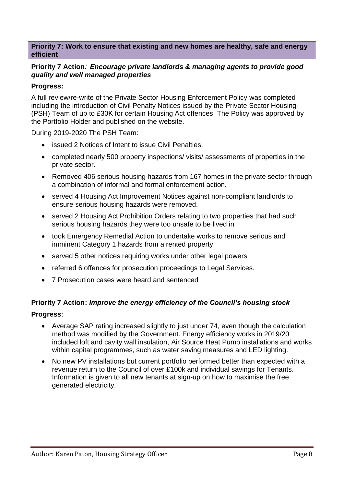#### **Priority 7: Work to ensure that existing and new homes are healthy, safe and energy efficient**

#### **Priority 7 Action***: Encourage private landlords & managing agents to provide good quality and well managed properties*

#### **Progress:**

A full review/re-write of the Private Sector Housing Enforcement Policy was completed including the introduction of Civil Penalty Notices issued by the Private Sector Housing (PSH) Team of up to £30K for certain Housing Act offences. The Policy was approved by the Portfolio Holder and published on the website.

During 2019-2020 The PSH Team:

- issued 2 Notices of Intent to issue Civil Penalties.
- completed nearly 500 property inspections/ visits/ assessments of properties in the private sector.
- Removed 406 serious housing hazards from 167 homes in the private sector through a combination of informal and formal enforcement action.
- served 4 Housing Act Improvement Notices against non-compliant landlords to ensure serious housing hazards were removed.
- served 2 Housing Act Prohibition Orders relating to two properties that had such serious housing hazards they were too unsafe to be lived in.
- took Emergency Remedial Action to undertake works to remove serious and imminent Category 1 hazards from a rented property.
- served 5 other notices requiring works under other legal powers.
- referred 6 offences for prosecution proceedings to Legal Services.
- 7 Prosecution cases were heard and sentenced

## **Priority 7 Action:** *Improve the energy efficiency of the Council's housing stock*

#### **Progress**:

- Average SAP rating increased slightly to just under 74, even though the calculation method was modified by the Government. Energy efficiency works in 2019/20 included loft and cavity wall insulation, Air Source Heat Pump installations and works within capital programmes, such as water saving measures and LED lighting.
- No new PV installations but current portfolio performed better than expected with a revenue return to the Council of over £100k and individual savings for Tenants. Information is given to all new tenants at sign-up on how to maximise the free generated electricity.